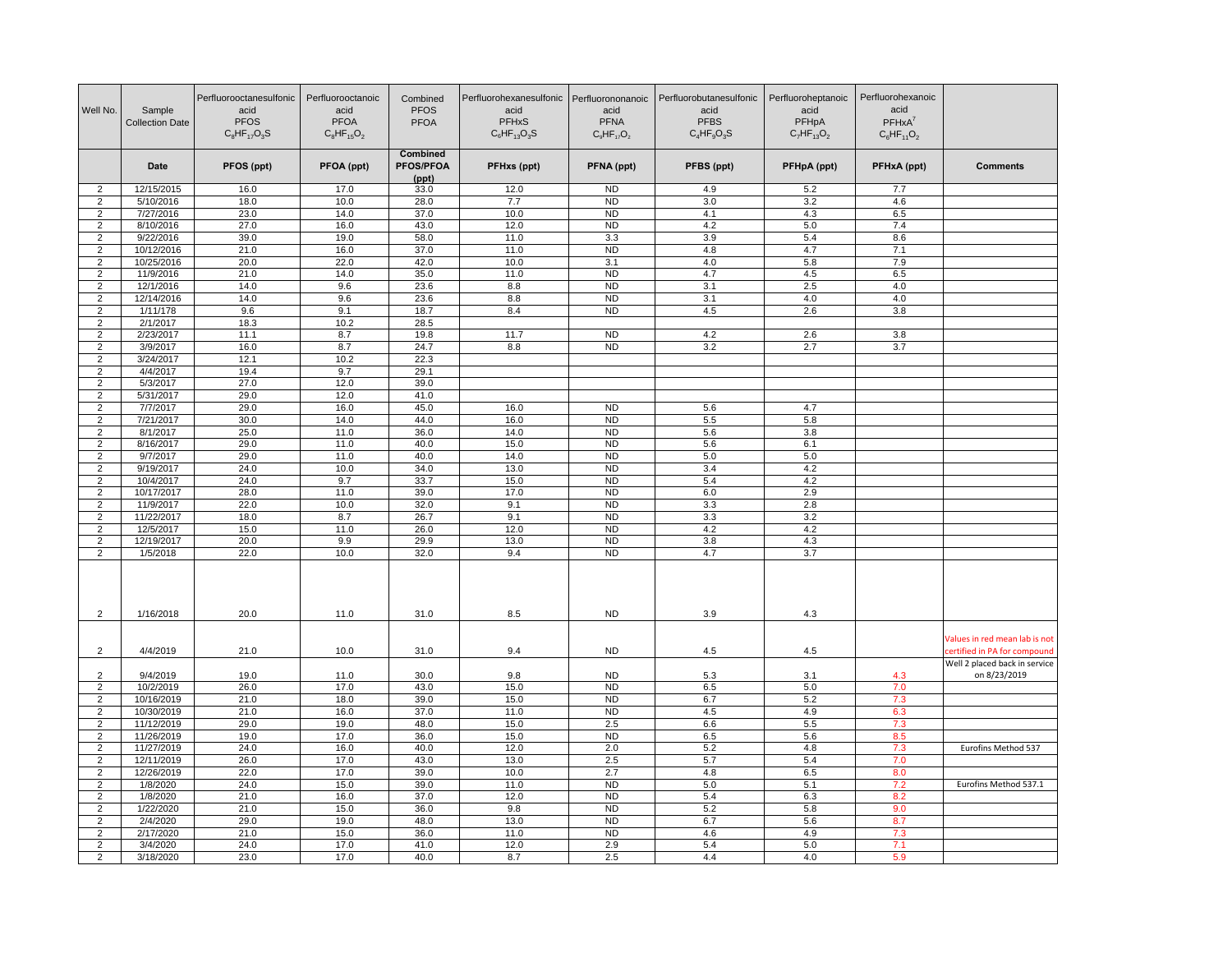| Well No.                | Sample<br><b>Collection Date</b> | Perfluorooctanesulfonic<br>acid<br><b>PFOS</b><br>$C_8$ HF <sub>17</sub> O <sub>3</sub> S | Perfluorooctanoic<br>acid<br><b>PFOA</b><br>$C_8HF_{15}O_2$ | Combined<br><b>PFOS</b><br><b>PFOA</b> | Perfluorohexanesulfonic Perfluorononanoic<br>acid<br><b>PFHxS</b><br>$C_6$ HF <sub>13</sub> O <sub>3</sub> S | acid<br><b>PFNA</b><br>$C_9HF_{17}O_2$ | Perfluorobutanesulfonic<br>acid<br><b>PFBS</b><br>$C_4HF_9O_3S$ | Perfluoroheptanoic<br>acid<br>PFHpA<br>$C_7HF_{13}O_2$ | Perfluorohexanoic<br>acid<br>$PFHxA^7$<br>$C_6HF_{11}O_2$ |                                                              |
|-------------------------|----------------------------------|-------------------------------------------------------------------------------------------|-------------------------------------------------------------|----------------------------------------|--------------------------------------------------------------------------------------------------------------|----------------------------------------|-----------------------------------------------------------------|--------------------------------------------------------|-----------------------------------------------------------|--------------------------------------------------------------|
|                         | Date                             | PFOS (ppt)                                                                                | PFOA (ppt)                                                  | Combined<br><b>PFOS/PFOA</b><br>(ppt)  | PFHxs (ppt)                                                                                                  | PFNA (ppt)                             | PFBS (ppt)                                                      | PFHpA (ppt)                                            | PFHxA (ppt)                                               | <b>Comments</b>                                              |
| 2                       | 12/15/2015                       | 16.0                                                                                      | 17.0                                                        | 33.0                                   | 12.0                                                                                                         | <b>ND</b>                              | 4.9                                                             | 5.2                                                    | 7.7                                                       |                                                              |
| $\overline{2}$          | 5/10/2016                        | 18.0                                                                                      | 10.0                                                        | 28.0                                   | 7.7                                                                                                          | <b>ND</b>                              | 3.0                                                             | 3.2                                                    | 4.6                                                       |                                                              |
| $\overline{c}$          | 7/27/2016                        | 23.0                                                                                      | 14.0                                                        | 37.0                                   | 10.0                                                                                                         | <b>ND</b>                              | 4.1                                                             | 4.3                                                    | 6.5                                                       |                                                              |
| $\overline{c}$          | 8/10/2016                        | 27.0                                                                                      | 16.0                                                        | 43.0                                   | 12.0                                                                                                         | <b>ND</b>                              | 4.2                                                             | 5.0                                                    | 7.4                                                       |                                                              |
| $\overline{2}$          | 9/22/2016                        | 39.0                                                                                      | 19.0                                                        | 58.0                                   | 11.0                                                                                                         | 3.3                                    | 3.9                                                             | 5.4                                                    | 8.6                                                       |                                                              |
| $\overline{2}$          | 10/12/2016                       | 21.0                                                                                      | 16.0                                                        | 37.0                                   | 11.0                                                                                                         | ND                                     | 4.8                                                             | 4.7                                                    | 7.1                                                       |                                                              |
| $\overline{2}$          | 10/25/2016                       | 20.0                                                                                      | 22.0                                                        | 42.0                                   | 10.0                                                                                                         | 3.1                                    | 4.0                                                             | 5.8                                                    | 7.9                                                       |                                                              |
| $\overline{2}$          | 11/9/2016                        | 21.0                                                                                      | 14.0                                                        | 35.0                                   | 11.0                                                                                                         | <b>ND</b>                              | 4.7                                                             | 4.5                                                    | 6.5                                                       |                                                              |
| $\overline{2}$          | 12/1/2016                        | 14.0                                                                                      | 9.6                                                         | 23.6                                   | 8.8                                                                                                          | <b>ND</b>                              | 3.1                                                             | 2.5                                                    | 4.0                                                       |                                                              |
| $\overline{c}$          | 12/14/2016                       | 14.0                                                                                      | 9.6                                                         | 23.6                                   | 8.8                                                                                                          | N <sub>D</sub>                         | 3.1                                                             | 4.0                                                    | 4.0                                                       |                                                              |
| $\overline{2}$          | 1/11/178                         | 9.6                                                                                       | 9.1                                                         | 18.7                                   | 8.4                                                                                                          | N <sub>D</sub>                         | 4.5                                                             | 2.6                                                    | 3.8                                                       |                                                              |
| $\overline{2}$          | 2/1/2017<br>2/23/2017            | 18.3                                                                                      | 10.2<br>8.7                                                 | 28.5                                   | 11.7                                                                                                         | <b>ND</b>                              | 4.2                                                             |                                                        |                                                           |                                                              |
| $\overline{2}$<br>2     | 3/9/2017                         | 11.1<br>16.0                                                                              | 8.7                                                         | 19.8<br>24.7                           | 8.8                                                                                                          | <b>ND</b>                              | 3.2                                                             | 2.6<br>2.7                                             | 3.8<br>3.7                                                |                                                              |
| $\overline{2}$          | 3/24/2017                        | 12.1                                                                                      | 10.2                                                        | 22.3                                   |                                                                                                              |                                        |                                                                 |                                                        |                                                           |                                                              |
| $\overline{\mathbf{c}}$ | 4/4/2017                         | 19.4                                                                                      | 9.7                                                         | 29.1                                   |                                                                                                              |                                        |                                                                 |                                                        |                                                           |                                                              |
| $\overline{2}$          | 5/3/2017                         | 27.0                                                                                      | 12.0                                                        | 39.0                                   |                                                                                                              |                                        |                                                                 |                                                        |                                                           |                                                              |
| $\overline{2}$          | 5/31/2017                        | 29.0                                                                                      | 12.0                                                        | 41.0                                   |                                                                                                              |                                        |                                                                 |                                                        |                                                           |                                                              |
| $\overline{2}$          | 7/7/2017                         | 29.0                                                                                      | 16.0                                                        | 45.0                                   | 16.0                                                                                                         | <b>ND</b>                              | 5.6                                                             | 4.7                                                    |                                                           |                                                              |
| 2                       | 7/21/2017                        | 30.0                                                                                      | 14.0                                                        | 44.0                                   | 16.0                                                                                                         | N <sub>D</sub>                         | 5.5                                                             | 5.8                                                    |                                                           |                                                              |
| $\overline{2}$          | 8/1/2017                         | 25.0                                                                                      | 11.0                                                        | 36.0                                   | 14.0                                                                                                         | ND                                     | 5.6                                                             | 3.8                                                    |                                                           |                                                              |
| $\overline{2}$          | 8/16/2017                        | 29.0                                                                                      | 11.0                                                        | 40.0                                   | 15.0                                                                                                         | <b>ND</b>                              | 5.6                                                             | 6.1                                                    |                                                           |                                                              |
| 2                       | 9/7/2017                         | 29.0                                                                                      | 11.0                                                        | 40.0                                   | 14.0                                                                                                         | N <sub>D</sub>                         | 5.0                                                             | 5.0                                                    |                                                           |                                                              |
| $\overline{2}$          | 9/19/2017                        | 24.0                                                                                      | 10.0                                                        | 34.0                                   | 13.0                                                                                                         | <b>ND</b>                              | 3.4                                                             | 4.2                                                    |                                                           |                                                              |
| $\overline{2}$          | 10/4/2017                        | 24.0                                                                                      | 9.7                                                         | 33.7                                   | 15.0                                                                                                         | <b>ND</b>                              | 5.4                                                             | 4.2                                                    |                                                           |                                                              |
| $\overline{2}$          | 10/17/2017                       | 28.0                                                                                      | 11.0                                                        | 39.0                                   | 17.0                                                                                                         | <b>ND</b>                              | 6.0                                                             | 2.9                                                    |                                                           |                                                              |
| $\overline{c}$          | 11/9/2017                        | 22.0                                                                                      | 10.0                                                        | 32.0                                   | 9.1                                                                                                          | <b>ND</b>                              | 3.3                                                             | 2.8                                                    |                                                           |                                                              |
| $\overline{2}$          | 11/22/2017                       | 18.0                                                                                      | 8.7                                                         | 26.7                                   | 9.1                                                                                                          | <b>ND</b>                              | 3.3                                                             | 3.2                                                    |                                                           |                                                              |
| 2                       | 12/5/2017                        | 15.0                                                                                      | 11.0                                                        | 26.0                                   | 12.0                                                                                                         | N <sub>D</sub>                         | 4.2                                                             | 4.2                                                    |                                                           |                                                              |
| $\overline{2}$          | 12/19/2017                       | 20.0                                                                                      | 9.9                                                         | 29.9                                   | 13.0                                                                                                         | <b>ND</b>                              | 3.8                                                             | 4.3                                                    |                                                           |                                                              |
| $\overline{2}$          | 1/5/2018                         | 22.0                                                                                      | 10.0                                                        | 32.0                                   | 9.4                                                                                                          | <b>ND</b>                              | 4.7                                                             | 3.7                                                    |                                                           |                                                              |
| $\overline{2}$          | 1/16/2018                        | 20.0                                                                                      | 11.0                                                        | 31.0                                   | 8.5                                                                                                          | <b>ND</b>                              | 3.9                                                             | 4.3                                                    |                                                           |                                                              |
| $\overline{2}$          | 4/4/2019                         | 21.0                                                                                      | 10.0                                                        | 31.0                                   | 9.4                                                                                                          | <b>ND</b>                              | 4.5                                                             | 4.5                                                    |                                                           | Values in red mean lab is not<br>ertified in PA for compound |
|                         |                                  |                                                                                           |                                                             |                                        |                                                                                                              |                                        |                                                                 |                                                        |                                                           | Well 2 placed back in service                                |
| 2<br>$\overline{2}$     | 9/4/2019<br>10/2/2019            | 19.0<br>26.0                                                                              | 11.0<br>17.0                                                | 30.0<br>43.0                           | 9.8<br>15.0                                                                                                  | <b>ND</b><br><b>ND</b>                 | 5.3<br>6.5                                                      | 3.1<br>5.0                                             | 4.3<br>7.0                                                | on 8/23/2019                                                 |
| $\overline{\mathbf{c}}$ | 10/16/2019                       | 21.0                                                                                      | 18.0                                                        | 39.0                                   | 15.0                                                                                                         | <b>ND</b>                              | 6.7                                                             | 5.2                                                    | 7.3                                                       |                                                              |
| $\overline{2}$          | 10/30/2019                       | 21.0                                                                                      | 16.0                                                        | 37.0                                   | 11.0                                                                                                         | <b>ND</b>                              | 4.5                                                             | 4.9                                                    | 6.3                                                       |                                                              |
| $\overline{2}$          | 11/12/2019                       | 29.0                                                                                      | 19.0                                                        | 48.0                                   | 15.0                                                                                                         | 2.5                                    | 6.6                                                             | 5.5                                                    | 7.3                                                       |                                                              |
| $\overline{2}$          | 11/26/2019                       | 19.0                                                                                      | 17.0                                                        | 36.0                                   | 15.0                                                                                                         | N <sub>D</sub>                         | 6.5                                                             | 5.6                                                    | 8.5                                                       |                                                              |
| 2                       | 11/27/2019                       | 24.0                                                                                      | 16.0                                                        | 40.0                                   | 12.0                                                                                                         | 2.0                                    | 5.2                                                             | 4.8                                                    | 7.3                                                       | Eurofins Method 537                                          |
| $\overline{2}$          | 12/11/2019                       | 26.0                                                                                      | 17.0                                                        | 43.0                                   | 13.0                                                                                                         | 2.5                                    | 5.7                                                             | 5.4                                                    | 7.0                                                       |                                                              |
| $\overline{c}$          | 12/26/2019                       | 22.0                                                                                      | 17.0                                                        | 39.0                                   | 10.0                                                                                                         | 2.7                                    | 4.8                                                             | 6.5                                                    | 8.0                                                       |                                                              |
| $\overline{2}$          | 1/8/2020                         | 24.0                                                                                      | 15.0                                                        | 39.0                                   | 11.0                                                                                                         | ND                                     | 5.0                                                             | 5.1                                                    | 7.2                                                       | Eurofins Method 537.1                                        |
| $\overline{2}$          | 1/8/2020                         | 21.0                                                                                      | 16.0                                                        | 37.0                                   | 12.0                                                                                                         | ND                                     | 5.4                                                             | 6.3                                                    | 8.2                                                       |                                                              |
| $\overline{2}$          | 1/22/2020                        | 21.0                                                                                      | 15.0                                                        | 36.0                                   | 9.8                                                                                                          | <b>ND</b>                              | 5.2                                                             | 5.8                                                    | 9.0                                                       |                                                              |
| 2                       | 2/4/2020                         | 29.0                                                                                      | 19.0                                                        | 48.0                                   | 13.0                                                                                                         | <b>ND</b>                              | 6.7                                                             | 5.6                                                    | 8.7                                                       |                                                              |
| $\overline{2}$          | 2/17/2020                        | 21.0                                                                                      | 15.0                                                        | 36.0                                   | 11.0                                                                                                         | <b>ND</b>                              | 4.6                                                             | 4.9                                                    | 7.3                                                       |                                                              |
| $\overline{c}$          | 3/4/2020                         | 24.0                                                                                      | 17.0                                                        | 41.0                                   | 12.0                                                                                                         | 2.9                                    | 5.4                                                             | 5.0                                                    | 7.1                                                       |                                                              |
| $\overline{2}$          | 3/18/2020                        | 23.0                                                                                      | 17.0                                                        | 40.0                                   | 8.7                                                                                                          | 2.5                                    | 4.4                                                             | 4.0                                                    | 5.9                                                       |                                                              |